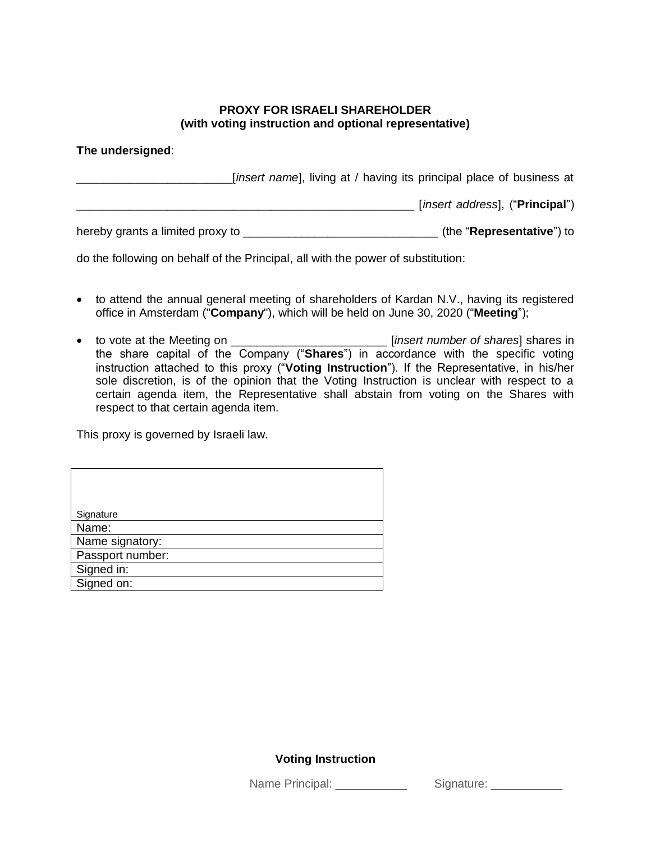## **PROXY FOR ISRAELI SHAREHOLDER (with voting instruction and optional representative)**

## **The undersigned**:

\_\_\_\_\_\_\_\_\_\_\_\_\_\_\_\_\_\_\_\_\_\_\_\_[*insert name*], living at / having its principal place of business at \_\_\_\_\_\_\_\_\_\_\_\_\_\_\_\_\_\_\_\_\_\_\_\_\_\_\_\_\_\_\_\_\_\_\_\_\_\_\_\_\_\_\_\_\_\_\_\_\_\_\_\_ [*insert address*], ("**Principal**") hereby grants a limited proxy to \_\_\_\_\_\_\_\_\_\_\_\_\_\_\_\_\_\_\_\_\_\_\_\_\_\_\_\_\_\_ (the "**Representative**") to

do the following on behalf of the Principal, all with the power of substitution:

- to attend the annual general meeting of shareholders of Kardan N.V., having its registered office in Amsterdam ("**Company**"), which will be held on June 30, 2020 ("**Meeting**");
- to vote at the Meeting on \_\_\_\_\_\_\_\_\_\_\_\_\_\_\_\_\_\_\_\_\_\_\_\_ [*insert number of shares*] shares in the share capital of the Company ("**Shares**") in accordance with the specific voting instruction attached to this proxy ("**Voting Instruction**"). If the Representative, in his/her sole discretion, is of the opinion that the Voting Instruction is unclear with respect to a certain agenda item, the Representative shall abstain from voting on the Shares with respect to that certain agenda item.

This proxy is governed by Israeli law.

| Signature        |
|------------------|
| Name:            |
| Name signatory:  |
| Passport number: |
| Signed in:       |
| Signed on:       |

## **Voting Instruction**

Name Principal: \_\_\_\_\_\_\_\_\_\_\_\_\_ Signature: \_\_\_\_\_\_\_\_\_\_